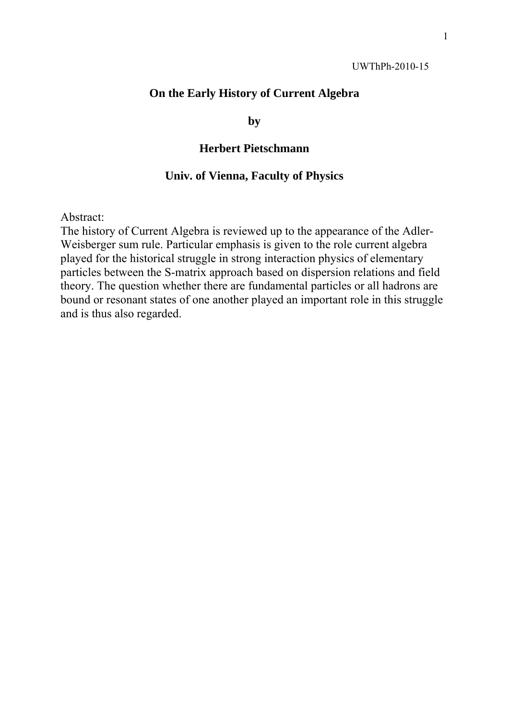# **On the Early History of Current Algebra**

### **by**

# **Herbert Pietschmann**

#### **Univ. of Vienna, Faculty of Physics**

Abstract:

The history of Current Algebra is reviewed up to the appearance of the Adler-Weisberger sum rule. Particular emphasis is given to the role current algebra played for the historical struggle in strong interaction physics of elementary particles between the S-matrix approach based on dispersion relations and field theory. The question whether there are fundamental particles or all hadrons are bound or resonant states of one another played an important role in this struggle and is thus also regarded.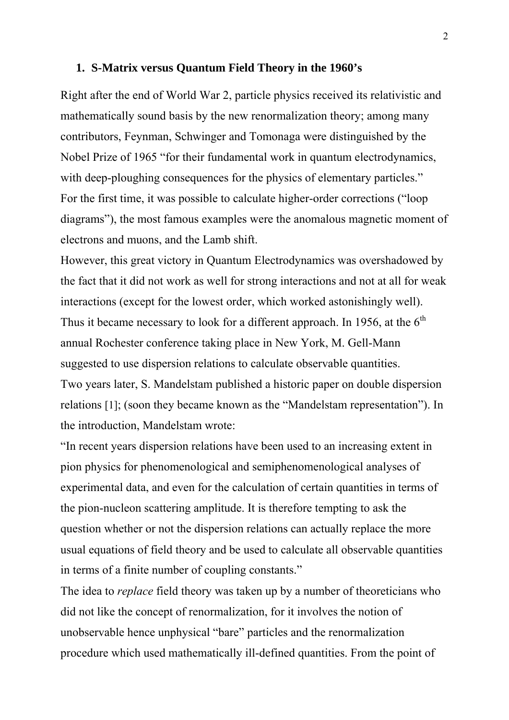#### **1. S-Matrix versus Quantum Field Theory in the 1960's**

Right after the end of World War 2, particle physics received its relativistic and mathematically sound basis by the new renormalization theory; among many contributors, Feynman, Schwinger and Tomonaga were distinguished by the Nobel Prize of 1965 "for their fundamental work in quantum electrodynamics, with deep-ploughing consequences for the physics of elementary particles." For the first time, it was possible to calculate higher-order corrections ("loop diagrams"), the most famous examples were the anomalous magnetic moment of electrons and muons, and the Lamb shift.

However, this great victory in Quantum Electrodynamics was overshadowed by the fact that it did not work as well for strong interactions and not at all for weak interactions (except for the lowest order, which worked astonishingly well). Thus it became necessary to look for a different approach. In 1956, at the  $6<sup>th</sup>$ annual Rochester conference taking place in New York, M. Gell-Mann suggested to use dispersion relations to calculate observable quantities. Two years later, S. Mandelstam published a historic paper on double dispersion relations [1]; (soon they became known as the "Mandelstam representation"). In the introduction, Mandelstam wrote:

"In recent years dispersion relations have been used to an increasing extent in pion physics for phenomenological and semiphenomenological analyses of experimental data, and even for the calculation of certain quantities in terms of the pion-nucleon scattering amplitude. It is therefore tempting to ask the question whether or not the dispersion relations can actually replace the more usual equations of field theory and be used to calculate all observable quantities in terms of a finite number of coupling constants."

The idea to *replace* field theory was taken up by a number of theoreticians who did not like the concept of renormalization, for it involves the notion of unobservable hence unphysical "bare" particles and the renormalization procedure which used mathematically ill-defined quantities. From the point of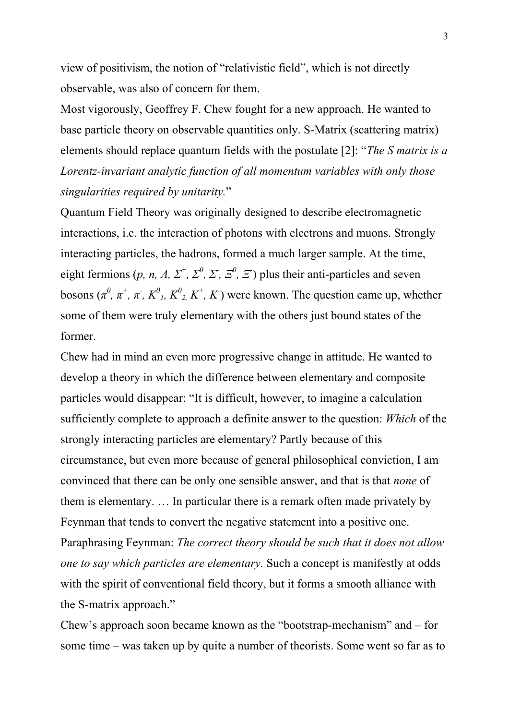view of positivism, the notion of "relativistic field", which is not directly observable, was also of concern for them.

Most vigorously, Geoffrey F. Chew fought for a new approach. He wanted to base particle theory on observable quantities only. S-Matrix (scattering matrix) elements should replace quantum fields with the postulate [2]: "*The S matrix is a Lorentz-invariant analytic function of all momentum variables with only those singularities required by unitarity.*"

Quantum Field Theory was originally designed to describe electromagnetic interactions, i.e. the interaction of photons with electrons and muons. Strongly interacting particles, the hadrons, formed a much larger sample. At the time, eight fermions (*p, n, A,*  $\Sigma^+$ *,*  $\Sigma^0$ *,*  $\Sigma$ *,*  $\Xi^0$ *,*  $\Xi$ *) plus their anti-particles and seven* bosons  $(\pi^0, \pi^+, \pi, K^0, K^0, K^0, K^+, K)$  were known. The question came up, whether some of them were truly elementary with the others just bound states of the former.

Chew had in mind an even more progressive change in attitude. He wanted to develop a theory in which the difference between elementary and composite particles would disappear: "It is difficult, however, to imagine a calculation sufficiently complete to approach a definite answer to the question: *Which* of the strongly interacting particles are elementary? Partly because of this circumstance, but even more because of general philosophical conviction, I am convinced that there can be only one sensible answer, and that is that *none* of them is elementary. … In particular there is a remark often made privately by Feynman that tends to convert the negative statement into a positive one. Paraphrasing Feynman: *The correct theory should be such that it does not allow one to say which particles are elementary.* Such a concept is manifestly at odds with the spirit of conventional field theory, but it forms a smooth alliance with the S-matrix approach."

Chew's approach soon became known as the "bootstrap-mechanism" and – for some time – was taken up by quite a number of theorists. Some went so far as to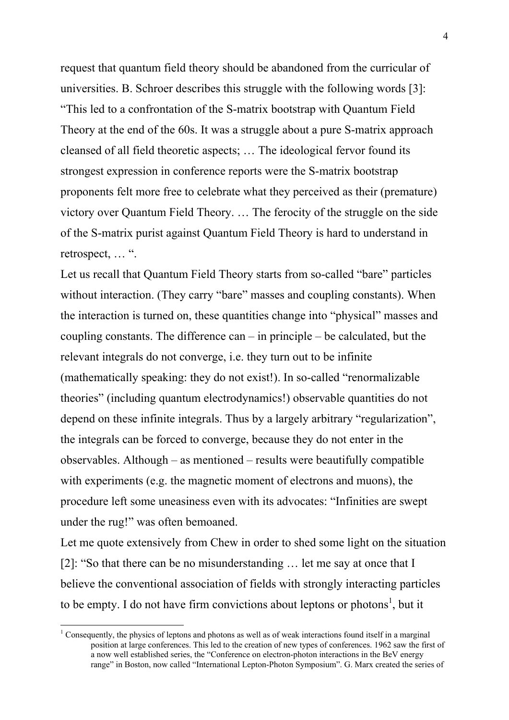request that quantum field theory should be abandoned from the curricular of universities. B. Schroer describes this struggle with the following words [3]: "This led to a confrontation of the S-matrix bootstrap with Quantum Field Theory at the end of the 60s. It was a struggle about a pure S-matrix approach cleansed of all field theoretic aspects; … The ideological fervor found its strongest expression in conference reports were the S-matrix bootstrap proponents felt more free to celebrate what they perceived as their (premature) victory over Quantum Field Theory. … The ferocity of the struggle on the side of the S-matrix purist against Quantum Field Theory is hard to understand in retrospect, … ".

Let us recall that Quantum Field Theory starts from so-called "bare" particles without interaction. (They carry "bare" masses and coupling constants). When the interaction is turned on, these quantities change into "physical" masses and coupling constants. The difference can – in principle – be calculated, but the relevant integrals do not converge, i.e. they turn out to be infinite (mathematically speaking: they do not exist!). In so-called "renormalizable theories" (including quantum electrodynamics!) observable quantities do not depend on these infinite integrals. Thus by a largely arbitrary "regularization", the integrals can be forced to converge, because they do not enter in the observables. Although – as mentioned – results were beautifully compatible with experiments (e.g. the magnetic moment of electrons and muons), the procedure left some uneasiness even with its advocates: "Infinities are swept under the rug!" was often bemoaned.

Let me quote extensively from Chew in order to shed some light on the situation [2]: "So that there can be no misunderstanding … let me say at once that I believe the conventional association of fields with strongly interacting particles to be empty. I do not have firm convictions about leptons or photons<sup>1</sup>, but it

1

<sup>&</sup>lt;sup>1</sup> Consequently, the physics of leptons and photons as well as of weak interactions found itself in a marginal position at large conferences. This led to the creation of new types of conferences. 1962 saw the first of a now well established series, the "Conference on electron-photon interactions in the BeV energy range" in Boston, now called "International Lepton-Photon Symposium". G. Marx created the series of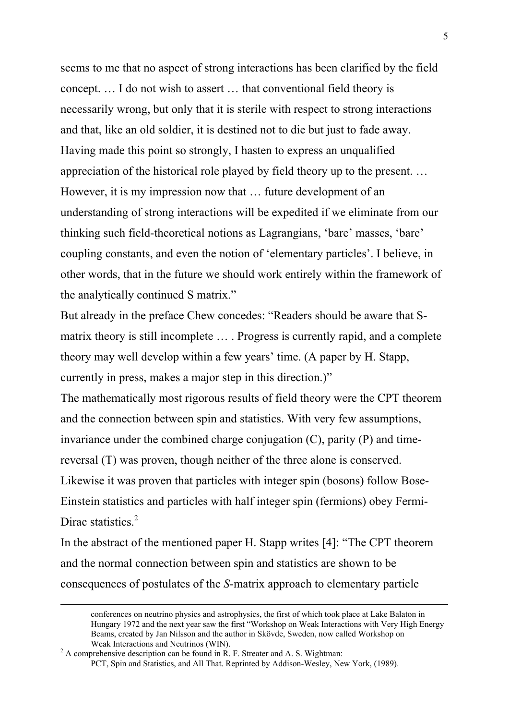seems to me that no aspect of strong interactions has been clarified by the field concept. … I do not wish to assert … that conventional field theory is necessarily wrong, but only that it is sterile with respect to strong interactions and that, like an old soldier, it is destined not to die but just to fade away. Having made this point so strongly, I hasten to express an unqualified appreciation of the historical role played by field theory up to the present. … However, it is my impression now that … future development of an understanding of strong interactions will be expedited if we eliminate from our thinking such field-theoretical notions as Lagrangians, 'bare' masses, 'bare' coupling constants, and even the notion of 'elementary particles'. I believe, in other words, that in the future we should work entirely within the framework of the analytically continued S matrix."

But already in the preface Chew concedes: "Readers should be aware that Smatrix theory is still incomplete … . Progress is currently rapid, and a complete theory may well develop within a few years' time. (A paper by H. Stapp, currently in press, makes a major step in this direction.)"

The mathematically most rigorous results of field theory were the CPT theorem and the connection between spin and statistics. With very few assumptions, invariance under the combined charge conjugation  $(C)$ , parity  $(P)$  and timereversal (T) was proven, though neither of the three alone is conserved. Likewise it was proven that particles with integer spin (bosons) follow Bose-Einstein statistics and particles with half integer spin (fermions) obey Fermi-Dirac statistics<sup>2</sup>

In the abstract of the mentioned paper H. Stapp writes [4]: "The CPT theorem and the normal connection between spin and statistics are shown to be consequences of postulates of the *S*-matrix approach to elementary particle

conferences on neutrino physics and astrophysics, the first of which took place at Lake Balaton in Hungary 1972 and the next year saw the first "Workshop on Weak Interactions with Very High Energy Beams, created by Jan Nilsson and the author in Skövde, Sweden, now called Workshop on

Weak Interactions and Neutrinos (WIN).<br><sup>2</sup> A comprehensive description can be found in R. F. Streater and A. S. Wightman: PCT, Spin and Statistics, and All That. Reprinted by Addison-Wesley, New York, (1989).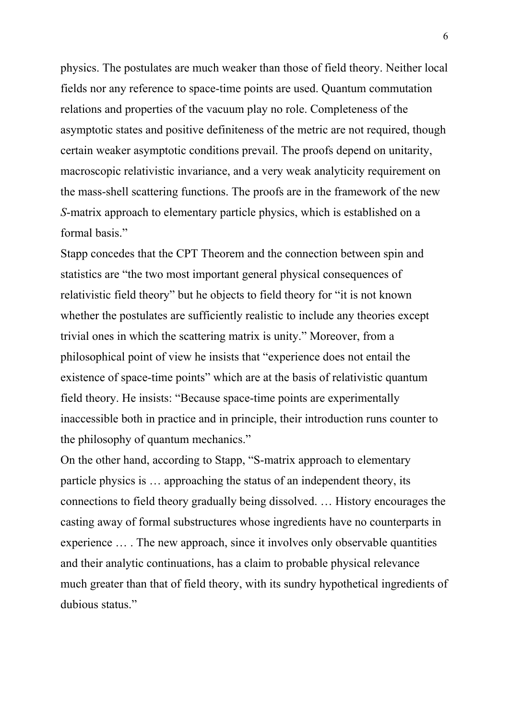physics. The postulates are much weaker than those of field theory. Neither local fields nor any reference to space-time points are used. Quantum commutation relations and properties of the vacuum play no role. Completeness of the asymptotic states and positive definiteness of the metric are not required, though certain weaker asymptotic conditions prevail. The proofs depend on unitarity, macroscopic relativistic invariance, and a very weak analyticity requirement on the mass-shell scattering functions. The proofs are in the framework of the new *S*-matrix approach to elementary particle physics, which is established on a formal basis"

Stapp concedes that the CPT Theorem and the connection between spin and statistics are "the two most important general physical consequences of relativistic field theory" but he objects to field theory for "it is not known whether the postulates are sufficiently realistic to include any theories except trivial ones in which the scattering matrix is unity." Moreover, from a philosophical point of view he insists that "experience does not entail the existence of space-time points" which are at the basis of relativistic quantum field theory. He insists: "Because space-time points are experimentally inaccessible both in practice and in principle, their introduction runs counter to the philosophy of quantum mechanics."

On the other hand, according to Stapp, "S-matrix approach to elementary particle physics is … approaching the status of an independent theory, its connections to field theory gradually being dissolved. … History encourages the casting away of formal substructures whose ingredients have no counterparts in experience … . The new approach, since it involves only observable quantities and their analytic continuations, has a claim to probable physical relevance much greater than that of field theory, with its sundry hypothetical ingredients of dubious status."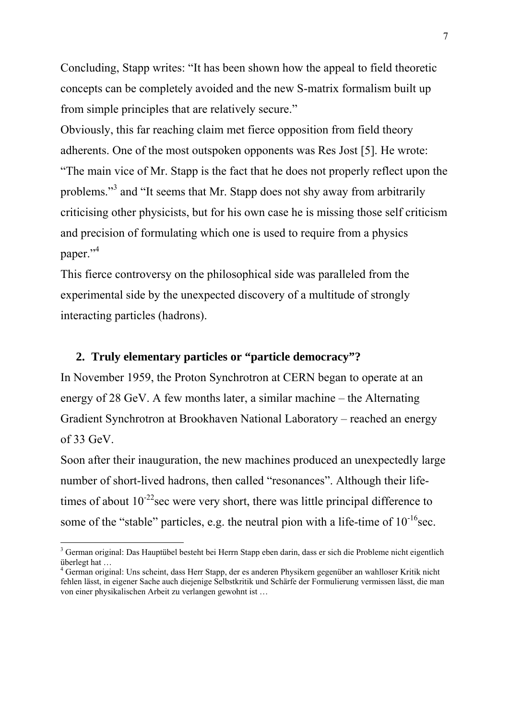Concluding, Stapp writes: "It has been shown how the appeal to field theoretic concepts can be completely avoided and the new S-matrix formalism built up from simple principles that are relatively secure."

Obviously, this far reaching claim met fierce opposition from field theory adherents. One of the most outspoken opponents was Res Jost [5]. He wrote: "The main vice of Mr. Stapp is the fact that he does not properly reflect upon the problems."<sup>3</sup> and "It seems that Mr. Stapp does not shy away from arbitrarily criticising other physicists, but for his own case he is missing those self criticism and precision of formulating which one is used to require from a physics paper."<sup>4</sup>

This fierce controversy on the philosophical side was paralleled from the experimental side by the unexpected discovery of a multitude of strongly interacting particles (hadrons).

# **2. Truly elementary particles or "particle democracy"?**

In November 1959, the Proton Synchrotron at CERN began to operate at an energy of 28 GeV. A few months later, a similar machine – the Alternating Gradient Synchrotron at Brookhaven National Laboratory – reached an energy of 33 GeV.

Soon after their inauguration, the new machines produced an unexpectedly large number of short-lived hadrons, then called "resonances". Although their lifetimes of about  $10^{-22}$  sec were very short, there was little principal difference to some of the "stable" particles, e.g. the neutral pion with a life-time of  $10^{-16}$ sec.

1

<sup>&</sup>lt;sup>3</sup> German original: Das Hauptübel besteht bei Herrn Stapp eben darin, dass er sich die Probleme nicht eigentlich überlegt hat …

<sup>4</sup> German original: Uns scheint, dass Herr Stapp, der es anderen Physikern gegenüber an wahlloser Kritik nicht fehlen lässt, in eigener Sache auch diejenige Selbstkritik und Schärfe der Formulierung vermissen lässt, die man von einer physikalischen Arbeit zu verlangen gewohnt ist …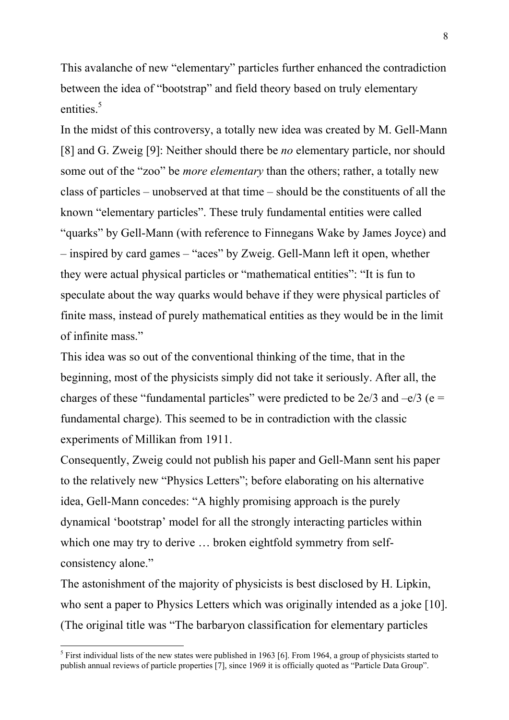This avalanche of new "elementary" particles further enhanced the contradiction between the idea of "bootstrap" and field theory based on truly elementary entities.<sup>5</sup>

In the midst of this controversy, a totally new idea was created by M. Gell-Mann [8] and G. Zweig [9]: Neither should there be *no* elementary particle, nor should some out of the "zoo" be *more elementary* than the others; rather, a totally new class of particles – unobserved at that time – should be the constituents of all the known "elementary particles". These truly fundamental entities were called "quarks" by Gell-Mann (with reference to Finnegans Wake by James Joyce) and – inspired by card games – "aces" by Zweig. Gell-Mann left it open, whether they were actual physical particles or "mathematical entities": "It is fun to speculate about the way quarks would behave if they were physical particles of finite mass, instead of purely mathematical entities as they would be in the limit of infinite mass."

This idea was so out of the conventional thinking of the time, that in the beginning, most of the physicists simply did not take it seriously. After all, the charges of these "fundamental particles" were predicted to be  $2e/3$  and  $-e/3$  (e = fundamental charge). This seemed to be in contradiction with the classic experiments of Millikan from 1911.

Consequently, Zweig could not publish his paper and Gell-Mann sent his paper to the relatively new "Physics Letters"; before elaborating on his alternative idea, Gell-Mann concedes: "A highly promising approach is the purely dynamical 'bootstrap' model for all the strongly interacting particles within which one may try to derive ... broken eightfold symmetry from selfconsistency alone."

The astonishment of the majority of physicists is best disclosed by H. Lipkin, who sent a paper to Physics Letters which was originally intended as a joke [10]. (The original title was "The barbaryon classification for elementary particles

1

 $<sup>5</sup>$  First individual lists of the new states were published in 1963 [6]. From 1964, a group of physicists started to</sup> publish annual reviews of particle properties [7], since 1969 it is officially quoted as "Particle Data Group".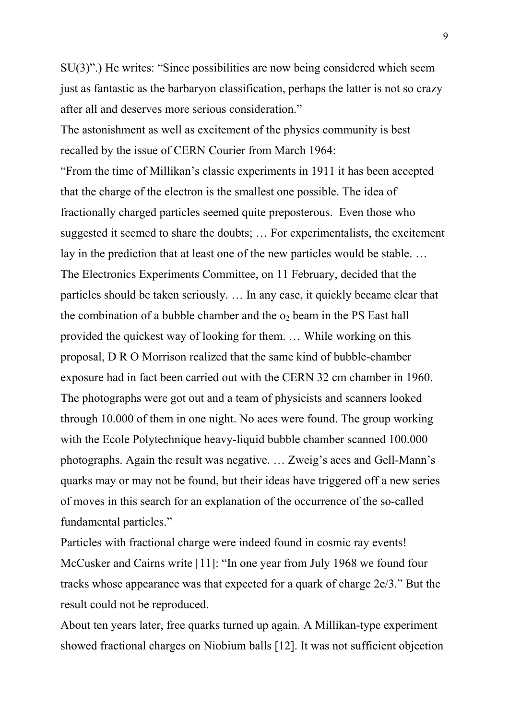SU(3)".) He writes: "Since possibilities are now being considered which seem just as fantastic as the barbaryon classification, perhaps the latter is not so crazy after all and deserves more serious consideration."

The astonishment as well as excitement of the physics community is best recalled by the issue of CERN Courier from March 1964:

"From the time of Millikan's classic experiments in 1911 it has been accepted that the charge of the electron is the smallest one possible. The idea of fractionally charged particles seemed quite preposterous. Even those who suggested it seemed to share the doubts; … For experimentalists, the excitement lay in the prediction that at least one of the new particles would be stable. … The Electronics Experiments Committee, on 11 February, decided that the particles should be taken seriously. … In any case, it quickly became clear that the combination of a bubble chamber and the  $o_2$  beam in the PS East hall provided the quickest way of looking for them. … While working on this proposal, D R O Morrison realized that the same kind of bubble-chamber exposure had in fact been carried out with the CERN 32 cm chamber in 1960. The photographs were got out and a team of physicists and scanners looked through 10.000 of them in one night. No aces were found. The group working with the Ecole Polytechnique heavy-liquid bubble chamber scanned 100.000 photographs. Again the result was negative. … Zweig's aces and Gell-Mann's quarks may or may not be found, but their ideas have triggered off a new series of moves in this search for an explanation of the occurrence of the so-called fundamental particles."

Particles with fractional charge were indeed found in cosmic ray events! McCusker and Cairns write [11]: "In one year from July 1968 we found four tracks whose appearance was that expected for a quark of charge 2e/3." But the result could not be reproduced.

About ten years later, free quarks turned up again. A Millikan-type experiment showed fractional charges on Niobium balls [12]. It was not sufficient objection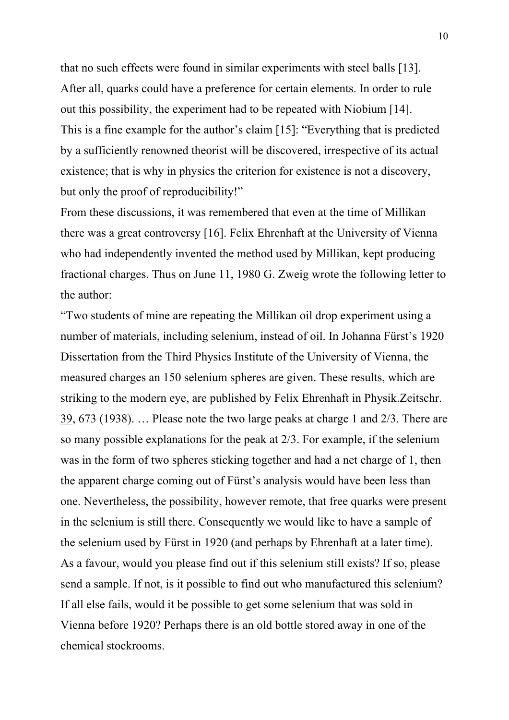that no such effects were found in similar experiments with steel balls [13]. After all, quarks could have a preference for certain elements. In order to rule out this possibility, the experiment had to be repeated with Niobium [14]. This is a fine example for the author's claim [15]: "Everything that is predicted by a sufficiently renowned theorist will be discovered, irrespective of its actual existence; that is why in physics the criterion for existence is not a discovery, but only the proof of reproducibility!"

From these discussions, it was remembered that even at the time of Millikan there was a great controversy [16]. Felix Ehrenhaft at the University of Vienna who had independently invented the method used by Millikan, kept producing fractional charges. Thus on June 11, 1980 G. Zweig wrote the following letter to the author:

"Two students of mine are repeating the Millikan oil drop experiment using a number of materials, including selenium, instead of oil. In Johanna Fürst's 1920 Dissertation from the Third Physics Institute of the University of Vienna, the measured charges an 150 selenium spheres are given. These results, which are striking to the modern eye, are published by Felix Ehrenhaft in Physik.Zeitschr. 39, 673 (1938). … Please note the two large peaks at charge 1 and 2/3. There are so many possible explanations for the peak at 2/3. For example, if the selenium was in the form of two spheres sticking together and had a net charge of 1, then the apparent charge coming out of Fürst's analysis would have been less than one. Nevertheless, the possibility, however remote, that free quarks were present in the selenium is still there. Consequently we would like to have a sample of the selenium used by Fürst in 1920 (and perhaps by Ehrenhaft at a later time). As a favour, would you please find out if this selenium still exists? If so, please send a sample. If not, is it possible to find out who manufactured this selenium? If all else fails, would it be possible to get some selenium that was sold in Vienna before 1920? Perhaps there is an old bottle stored away in one of the chemical stockrooms.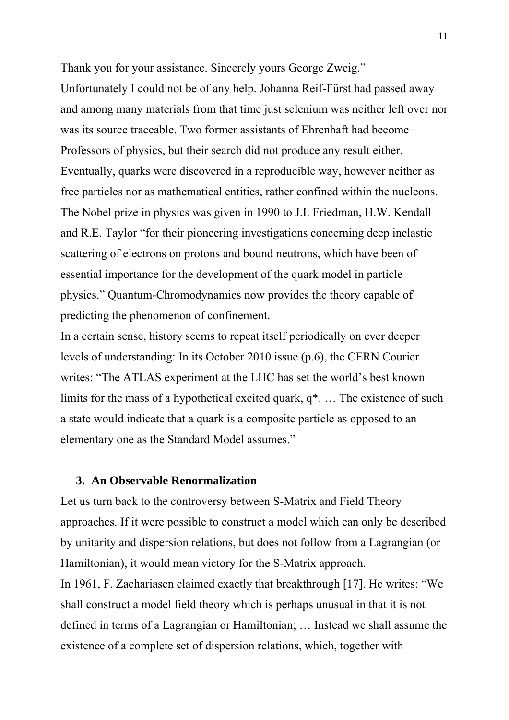Thank you for your assistance. Sincerely yours George Zweig." Unfortunately I could not be of any help. Johanna Reif-Fürst had passed away and among many materials from that time just selenium was neither left over nor was its source traceable. Two former assistants of Ehrenhaft had become Professors of physics, but their search did not produce any result either. Eventually, quarks were discovered in a reproducible way, however neither as free particles nor as mathematical entities, rather confined within the nucleons. The Nobel prize in physics was given in 1990 to J.I. Friedman, H.W. Kendall and R.E. Taylor "for their pioneering investigations concerning deep inelastic scattering of electrons on protons and bound neutrons, which have been of essential importance for the development of the quark model in particle physics." Quantum-Chromodynamics now provides the theory capable of predicting the phenomenon of confinement.

In a certain sense, history seems to repeat itself periodically on ever deeper levels of understanding: In its October 2010 issue (p.6), the CERN Courier writes: "The ATLAS experiment at the LHC has set the world's best known limits for the mass of a hypothetical excited quark, q\*. … The existence of such a state would indicate that a quark is a composite particle as opposed to an elementary one as the Standard Model assumes."

#### **3. An Observable Renormalization**

Let us turn back to the controversy between S-Matrix and Field Theory approaches. If it were possible to construct a model which can only be described by unitarity and dispersion relations, but does not follow from a Lagrangian (or Hamiltonian), it would mean victory for the S-Matrix approach.

In 1961, F. Zachariasen claimed exactly that breakthrough [17]. He writes: "We shall construct a model field theory which is perhaps unusual in that it is not defined in terms of a Lagrangian or Hamiltonian; … Instead we shall assume the existence of a complete set of dispersion relations, which, together with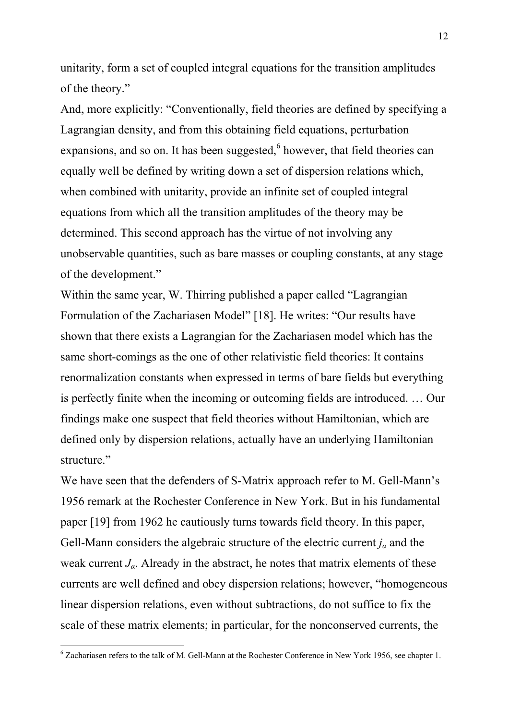unitarity, form a set of coupled integral equations for the transition amplitudes of the theory."

And, more explicitly: "Conventionally, field theories are defined by specifying a Lagrangian density, and from this obtaining field equations, perturbation expansions, and so on. It has been suggested, $6$  however, that field theories can equally well be defined by writing down a set of dispersion relations which, when combined with unitarity, provide an infinite set of coupled integral equations from which all the transition amplitudes of the theory may be determined. This second approach has the virtue of not involving any unobservable quantities, such as bare masses or coupling constants, at any stage of the development."

Within the same year, W. Thirring published a paper called "Lagrangian Formulation of the Zachariasen Model" [18]. He writes: "Our results have shown that there exists a Lagrangian for the Zachariasen model which has the same short-comings as the one of other relativistic field theories: It contains renormalization constants when expressed in terms of bare fields but everything is perfectly finite when the incoming or outcoming fields are introduced. … Our findings make one suspect that field theories without Hamiltonian, which are defined only by dispersion relations, actually have an underlying Hamiltonian structure."

We have seen that the defenders of S-Matrix approach refer to M. Gell-Mann's 1956 remark at the Rochester Conference in New York. But in his fundamental paper [19] from 1962 he cautiously turns towards field theory. In this paper, Gell-Mann considers the algebraic structure of the electric current *jα* and the weak current  $J_a$ . Already in the abstract, he notes that matrix elements of these currents are well defined and obey dispersion relations; however, "homogeneous linear dispersion relations, even without subtractions, do not suffice to fix the scale of these matrix elements; in particular, for the nonconserved currents, the

<sup>&</sup>lt;sup>6</sup> Zachariasen refers to the talk of M. Gell-Mann at the Rochester Conference in New York 1956, see chapter 1.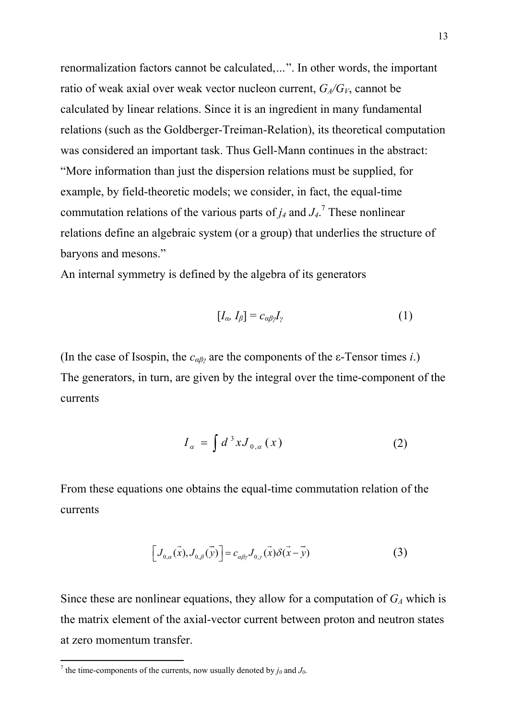renormalization factors cannot be calculated,*…*". In other words, the important ratio of weak axial over weak vector nucleon current,  $G_A/G_V$ , cannot be calculated by linear relations. Since it is an ingredient in many fundamental relations (such as the Goldberger-Treiman-Relation), its theoretical computation was considered an important task. Thus Gell-Mann continues in the abstract: "More information than just the dispersion relations must be supplied, for example, by field-theoretic models; we consider, in fact, the equal-time commutation relations of the various parts of  $j_4$  and  $J_4$ .<sup>7</sup> These nonlinear relations define an algebraic system (or a group) that underlies the structure of baryons and mesons."

An internal symmetry is defined by the algebra of its generators

$$
[I_{\alpha}, I_{\beta}] = c_{\alpha\beta\gamma}I_{\gamma} \tag{1}
$$

(In the case of Isospin, the *cαβγ* are the components of the ε-Tensor times *i*.) The generators, in turn, are given by the integral over the time-component of the currents

$$
I_{\alpha} = \int d^3x J_{0,\alpha}(x) \tag{2}
$$

From these equations one obtains the equal-time commutation relation of the currents

$$
\left[J_{0,\alpha}(\vec{x}), J_{0,\beta}(\vec{y})\right] = c_{\alpha\beta\gamma}J_{0,\gamma}(\vec{x})\delta(\vec{x}-\vec{y})
$$
\n(3)

Since these are nonlinear equations, they allow for a computation of  $G<sub>A</sub>$  which is the matrix element of the axial-vector current between proton and neutron states at zero momentum transfer.

 $\frac{1}{7}$  the time-components of the currents, now usually denoted by  $j_0$  and  $J_0$ .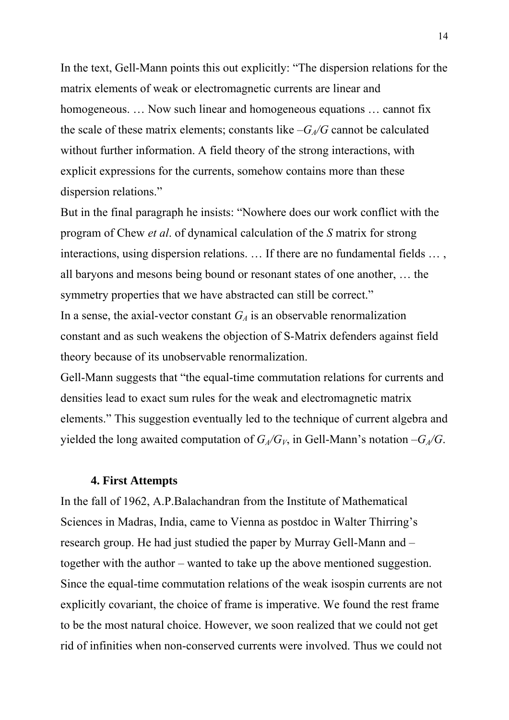In the text, Gell-Mann points this out explicitly: "The dispersion relations for the matrix elements of weak or electromagnetic currents are linear and homogeneous. ... Now such linear and homogeneous equations ... cannot fix the scale of these matrix elements; constants like  $-G_A/G$  cannot be calculated without further information. A field theory of the strong interactions, with explicit expressions for the currents, somehow contains more than these dispersion relations."

But in the final paragraph he insists: "Nowhere does our work conflict with the program of Chew *et al*. of dynamical calculation of the *S* matrix for strong interactions, using dispersion relations. … If there are no fundamental fields … , all baryons and mesons being bound or resonant states of one another, … the symmetry properties that we have abstracted can still be correct." In a sense, the axial-vector constant  $G_A$  is an observable renormalization constant and as such weakens the objection of S-Matrix defenders against field theory because of its unobservable renormalization.

Gell-Mann suggests that "the equal-time commutation relations for currents and densities lead to exact sum rules for the weak and electromagnetic matrix elements." This suggestion eventually led to the technique of current algebra and yielded the long awaited computation of  $G_A/G_V$ , in Gell-Mann's notation  $-G_A/G$ .

#### **4. First Attempts**

In the fall of 1962, A.P.Balachandran from the Institute of Mathematical Sciences in Madras, India, came to Vienna as postdoc in Walter Thirring's research group. He had just studied the paper by Murray Gell-Mann and – together with the author – wanted to take up the above mentioned suggestion. Since the equal-time commutation relations of the weak isospin currents are not explicitly covariant, the choice of frame is imperative. We found the rest frame to be the most natural choice. However, we soon realized that we could not get rid of infinities when non-conserved currents were involved. Thus we could not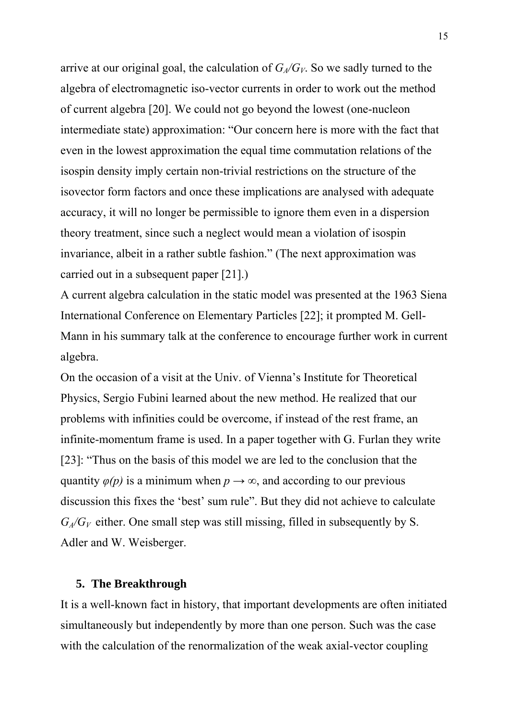arrive at our original goal, the calculation of  $G_A/G_V$ . So we sadly turned to the algebra of electromagnetic iso-vector currents in order to work out the method of current algebra [20]. We could not go beyond the lowest (one-nucleon intermediate state) approximation: "Our concern here is more with the fact that even in the lowest approximation the equal time commutation relations of the isospin density imply certain non-trivial restrictions on the structure of the isovector form factors and once these implications are analysed with adequate accuracy, it will no longer be permissible to ignore them even in a dispersion theory treatment, since such a neglect would mean a violation of isospin invariance, albeit in a rather subtle fashion." (The next approximation was carried out in a subsequent paper [21].)

A current algebra calculation in the static model was presented at the 1963 Siena International Conference on Elementary Particles [22]; it prompted M. Gell-Mann in his summary talk at the conference to encourage further work in current algebra.

On the occasion of a visit at the Univ. of Vienna's Institute for Theoretical Physics, Sergio Fubini learned about the new method. He realized that our problems with infinities could be overcome, if instead of the rest frame, an infinite-momentum frame is used. In a paper together with G. Furlan they write [23]: "Thus on the basis of this model we are led to the conclusion that the quantity  $\varphi(p)$  is a minimum when  $p \to \infty$ , and according to our previous discussion this fixes the 'best' sum rule". But they did not achieve to calculate  $G_A/G_V$  either. One small step was still missing, filled in subsequently by S. Adler and W. Weisberger.

## **5. The Breakthrough**

It is a well-known fact in history, that important developments are often initiated simultaneously but independently by more than one person. Such was the case with the calculation of the renormalization of the weak axial-vector coupling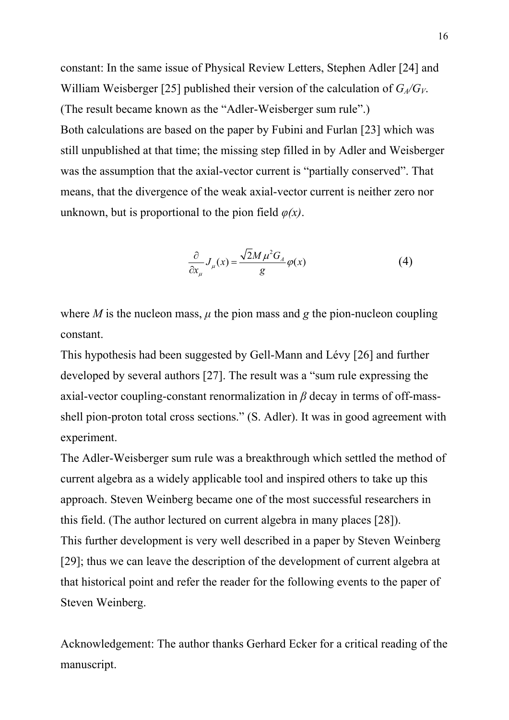constant: In the same issue of Physical Review Letters, Stephen Adler [24] and William Weisberger [25] published their version of the calculation of  $G_A/G_V$ . (The result became known as the "Adler-Weisberger sum rule".) Both calculations are based on the paper by Fubini and Furlan [23] which was still unpublished at that time; the missing step filled in by Adler and Weisberger was the assumption that the axial-vector current is "partially conserved". That means, that the divergence of the weak axial-vector current is neither zero nor unknown, but is proportional to the pion field  $\varphi(x)$ .

$$
\frac{\partial}{\partial x_{\mu}} J_{\mu}(x) = \frac{\sqrt{2}M\mu^2 G_A}{g} \varphi(x)
$$
(4)

where *M* is the nucleon mass,  $\mu$  the pion mass and  $g$  the pion-nucleon coupling constant.

This hypothesis had been suggested by Gell-Mann and Lévy [26] and further developed by several authors [27]. The result was a "sum rule expressing the axial-vector coupling-constant renormalization in *β* decay in terms of off-massshell pion-proton total cross sections." (S. Adler). It was in good agreement with experiment.

The Adler-Weisberger sum rule was a breakthrough which settled the method of current algebra as a widely applicable tool and inspired others to take up this approach. Steven Weinberg became one of the most successful researchers in this field. (The author lectured on current algebra in many places [28]). This further development is very well described in a paper by Steven Weinberg [29]; thus we can leave the description of the development of current algebra at that historical point and refer the reader for the following events to the paper of Steven Weinberg.

Acknowledgement: The author thanks Gerhard Ecker for a critical reading of the manuscript.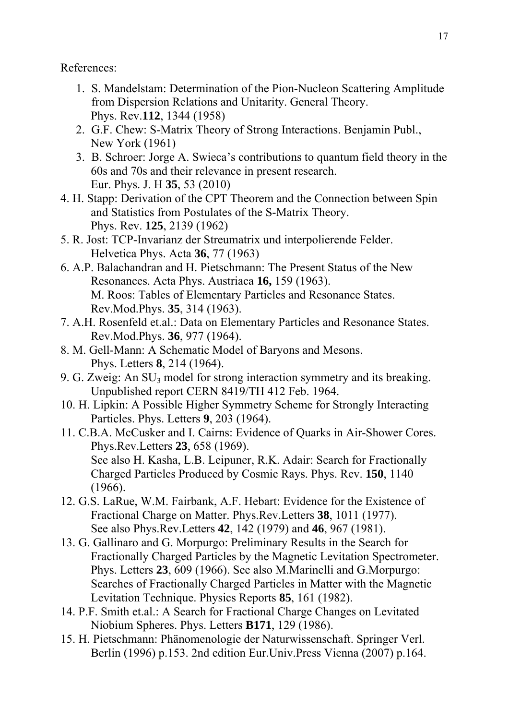References:

- 1. S. Mandelstam: Determination of the Pion-Nucleon Scattering Amplitude from Dispersion Relations and Unitarity. General Theory. Phys. Rev.**112**, 1344 (1958)
- 2. G.F. Chew: S-Matrix Theory of Strong Interactions. Benjamin Publ., New York (1961)
- 3. B. Schroer: Jorge A. Swieca's contributions to quantum field theory in the 60s and 70s and their relevance in present research. Eur. Phys. J. H **35**, 53 (2010)
- 4. H. Stapp: Derivation of the CPT Theorem and the Connection between Spin and Statistics from Postulates of the S-Matrix Theory. Phys. Rev. **125**, 2139 (1962)
- 5. R. Jost: TCP-Invarianz der Streumatrix und interpolierende Felder. Helvetica Phys. Acta **36**, 77 (1963)
- 6. A.P. Balachandran and H. Pietschmann: The Present Status of the New Resonances. Acta Phys. Austriaca **16,** 159 (1963). M. Roos: Tables of Elementary Particles and Resonance States. Rev.Mod.Phys. **35**, 314 (1963).
- 7. A.H. Rosenfeld et.al.: Data on Elementary Particles and Resonance States. Rev.Mod.Phys. **36**, 977 (1964).
- 8. M. Gell-Mann: A Schematic Model of Baryons and Mesons. Phys. Letters **8**, 214 (1964).
- 9. G. Zweig: An SU<sub>3</sub> model for strong interaction symmetry and its breaking. Unpublished report CERN 8419/TH 412 Feb. 1964.
- 10. H. Lipkin: A Possible Higher Symmetry Scheme for Strongly Interacting Particles. Phys. Letters **9**, 203 (1964).
- 11. C.B.A. McCusker and I. Cairns: Evidence of Quarks in Air-Shower Cores. Phys.Rev.Letters **23**, 658 (1969). See also H. Kasha, L.B. Leipuner, R.K. Adair: Search for Fractionally Charged Particles Produced by Cosmic Rays. Phys. Rev. **150**, 1140 (1966).
- 12. G.S. LaRue, W.M. Fairbank, A.F. Hebart: Evidence for the Existence of Fractional Charge on Matter. Phys.Rev.Letters **38**, 1011 (1977). See also Phys.Rev.Letters **42**, 142 (1979) and **46**, 967 (1981).
- 13. G. Gallinaro and G. Morpurgo: Preliminary Results in the Search for Fractionally Charged Particles by the Magnetic Levitation Spectrometer. Phys. Letters **23**, 609 (1966). See also M.Marinelli and G.Morpurgo: Searches of Fractionally Charged Particles in Matter with the Magnetic Levitation Technique. Physics Reports **85**, 161 (1982).
- 14. P.F. Smith et.al.: A Search for Fractional Charge Changes on Levitated Niobium Spheres. Phys. Letters **B171**, 129 (1986).
- 15. H. Pietschmann: Phänomenologie der Naturwissenschaft. Springer Verl. Berlin (1996) p.153. 2nd edition Eur.Univ.Press Vienna (2007) p.164.